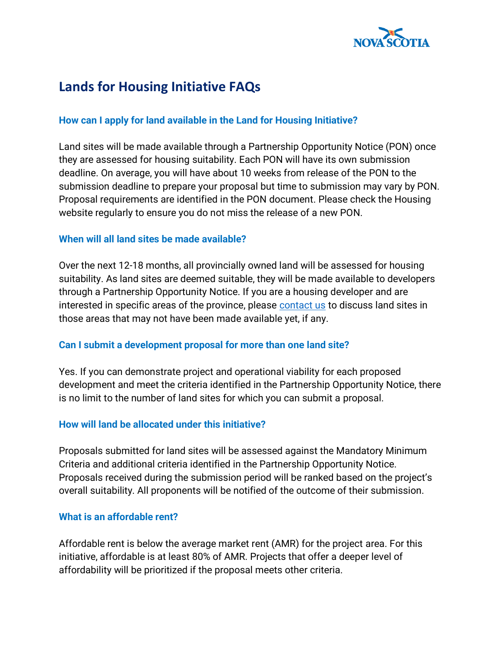

# **Lands for Housing Initiative FAQs**

# **How can I apply for land available in the Land for Housing Initiative?**

Land sites will be made available through a Partnership Opportunity Notice (PON) once they are assessed for housing suitability. Each PON will have its own submission deadline. On average, you will have about 10 weeks from release of the PON to the submission deadline to prepare your proposal but time to submission may vary by PON. Proposal requirements are identified in the PON document. Please check the Housing website regularly to ensure you do not miss the release of a new PON.

# **When will all land sites be made available?**

Over the next 12-18 months, all provincially owned land will be assessed for housing suitability. As land sites are deemed suitable, they will be made available to developers through a Partnership Opportunity Notice. If you are a housing developer and are interested in specific areas of the province, please [contact us](mailto:LandforHousing@novascotia.ca) to discuss land sites in those areas that may not have been made available yet, if any.

#### **Can I submit a development proposal for more than one land site?**

Yes. If you can demonstrate project and operational viability for each proposed development and meet the criteria identified in the Partnership Opportunity Notice, there is no limit to the number of land sites for which you can submit a proposal.

#### **How will land be allocated under this initiative?**

Proposals submitted for land sites will be assessed against the Mandatory Minimum Criteria and additional criteria identified in the Partnership Opportunity Notice. Proposals received during the submission period will be ranked based on the project's overall suitability. All proponents will be notified of the outcome of their submission.

#### **What is an affordable rent?**

Affordable rent is below the average market rent (AMR) for the project area. For this initiative, affordable is at least 80% of AMR. Projects that offer a deeper level of affordability will be prioritized if the proposal meets other criteria.